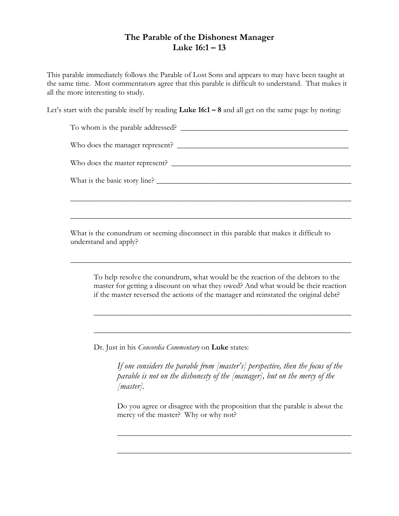## The Parable of the Dishonest Manager Luke  $16:1 - 13$

This parable immediately follows the Parable of Lost Sons and appears to may have been taught at the same time. Most commentators agree that this parable is difficult to understand. That makes it all the more interesting to study.

Let's start with the parable itself by reading Luke  $16:1 - 8$  and all get on the same page by noting:

| To whom is the parable addressed? |
|-----------------------------------|
| Who does the manager represent?   |
| Who does the master represent?    |
| What is the basic story line?     |
|                                   |

 $\overline{\phantom{a}}$  , and the contract of the contract of the contract of the contract of the contract of the contract of the contract of the contract of the contract of the contract of the contract of the contract of the contrac

 $\overline{\phantom{a}}$  , and the contract of the contract of the contract of the contract of the contract of the contract of the contract of the contract of the contract of the contract of the contract of the contract of the contrac

What is the conundrum or seeming disconnect in this parable that makes it difficult to understand and apply?

| To help resolve the conundrum, what would be the reaction of the debtors to the     |
|-------------------------------------------------------------------------------------|
| master for getting a discount on what they owed? And what would be their reaction   |
| if the master reversed the actions of the manager and reinstated the original debt? |

 $\overline{\phantom{a}}$  , and the contract of the contract of the contract of the contract of the contract of the contract of the contract of the contract of the contract of the contract of the contract of the contract of the contrac

 $\overline{\phantom{a}}$  , and the contract of the contract of the contract of the contract of the contract of the contract of the contract of the contract of the contract of the contract of the contract of the contract of the contrac

Dr. Just in his Concordia Commentary on Luke states:

If one considers the parable from [master's] perspective, then the focus of the parable is not on the dishonesty of the [manager], but on the mercy of the [master].

Do you agree or disagree with the proposition that the parable is about the mercy of the master? Why or why not?

 $\frac{1}{2}$  ,  $\frac{1}{2}$  ,  $\frac{1}{2}$  ,  $\frac{1}{2}$  ,  $\frac{1}{2}$  ,  $\frac{1}{2}$  ,  $\frac{1}{2}$  ,  $\frac{1}{2}$  ,  $\frac{1}{2}$  ,  $\frac{1}{2}$  ,  $\frac{1}{2}$  ,  $\frac{1}{2}$  ,  $\frac{1}{2}$  ,  $\frac{1}{2}$  ,  $\frac{1}{2}$  ,  $\frac{1}{2}$  ,  $\frac{1}{2}$  ,  $\frac{1}{2}$  ,  $\frac{1$ 

 $\frac{1}{2}$  ,  $\frac{1}{2}$  ,  $\frac{1}{2}$  ,  $\frac{1}{2}$  ,  $\frac{1}{2}$  ,  $\frac{1}{2}$  ,  $\frac{1}{2}$  ,  $\frac{1}{2}$  ,  $\frac{1}{2}$  ,  $\frac{1}{2}$  ,  $\frac{1}{2}$  ,  $\frac{1}{2}$  ,  $\frac{1}{2}$  ,  $\frac{1}{2}$  ,  $\frac{1}{2}$  ,  $\frac{1}{2}$  ,  $\frac{1}{2}$  ,  $\frac{1}{2}$  ,  $\frac{1$